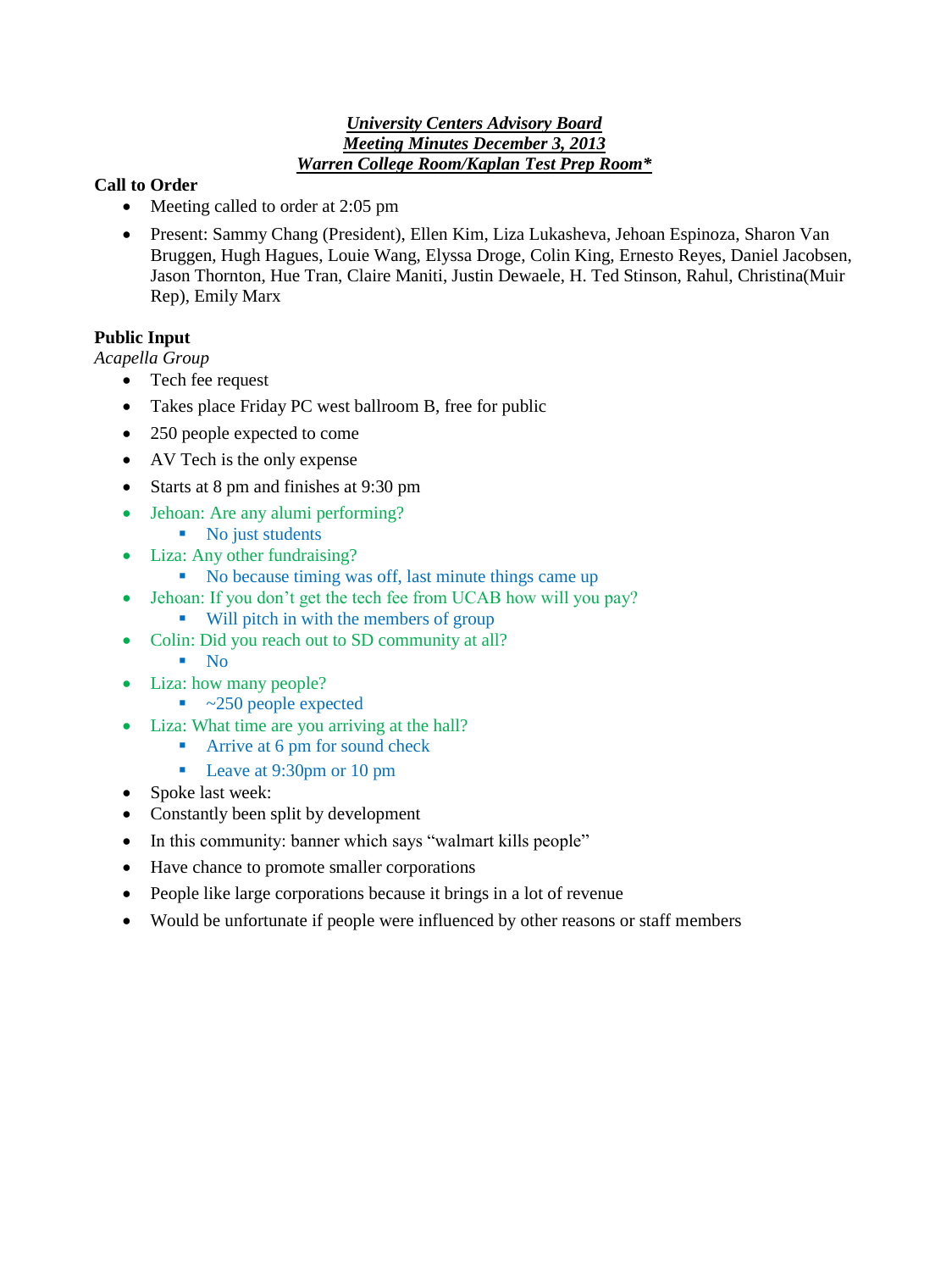#### *University Centers Advisory Board Meeting Minutes December 3, 2013 Warren College Room/Kaplan Test Prep Room\**

### **Call to Order**

- Meeting called to order at 2:05 pm
- Present: Sammy Chang (President), Ellen Kim, Liza Lukasheva, Jehoan Espinoza, Sharon Van Bruggen, Hugh Hagues, Louie Wang, Elyssa Droge, Colin King, Ernesto Reyes, Daniel Jacobsen, Jason Thornton, Hue Tran, Claire Maniti, Justin Dewaele, H. Ted Stinson, Rahul, Christina(Muir Rep), Emily Marx

# **Public Input**

*Acapella Group* 

- Tech fee request
- Takes place Friday PC west ballroom B, free for public
- 250 people expected to come
- AV Tech is the only expense
- Starts at 8 pm and finishes at 9:30 pm
- Jehoan: Are any alumi performing?
	- No just students
- Liza: Any other fundraising?
	- No because timing was off, last minute things came up
- Jehoan: If you don't get the tech fee from UCAB how will you pay?
	- Will pitch in with the members of group
- Colin: Did you reach out to SD community at all?
	- $\blacksquare$  No
- Liza: how many people?
	- $\sim$  250 people expected
- Liza: What time are you arriving at the hall?
	- **Arrive at 6 pm for sound check**
	- Leave at 9:30pm or 10 pm
- Spoke last week:
- Constantly been split by development
- In this community: banner which says "walmart kills people"
- Have chance to promote smaller corporations
- People like large corporations because it brings in a lot of revenue
- Would be unfortunate if people were influenced by other reasons or staff members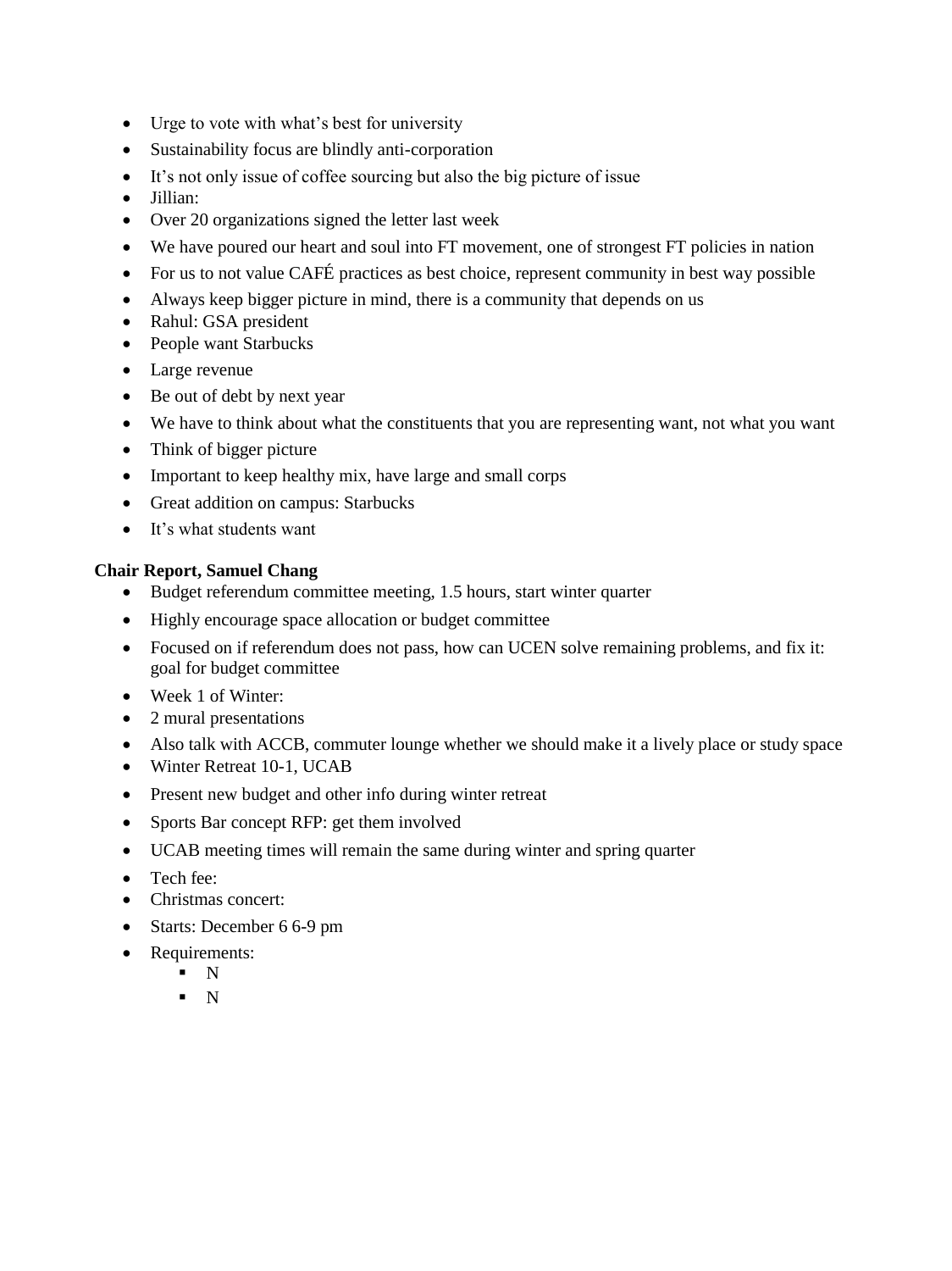- Urge to vote with what's best for university
- Sustainability focus are blindly anti-corporation
- It's not only issue of coffee sourcing but also the big picture of issue
- Jillian:
- Over 20 organizations signed the letter last week
- We have poured our heart and soul into FT movement, one of strongest FT policies in nation
- For us to not value CAFÉ practices as best choice, represent community in best way possible
- Always keep bigger picture in mind, there is a community that depends on us
- Rahul: GSA president
- People want Starbucks
- Large revenue
- Be out of debt by next year
- We have to think about what the constituents that you are representing want, not what you want
- Think of bigger picture
- Important to keep healthy mix, have large and small corps
- Great addition on campus: Starbucks
- It's what students want

#### **Chair Report, Samuel Chang**

- Budget referendum committee meeting, 1.5 hours, start winter quarter
- Highly encourage space allocation or budget committee
- Focused on if referendum does not pass, how can UCEN solve remaining problems, and fix it: goal for budget committee
- Week 1 of Winter:
- 2 mural presentations
- Also talk with ACCB, commuter lounge whether we should make it a lively place or study space
- Winter Retreat 10-1, UCAB
- Present new budget and other info during winter retreat
- Sports Bar concept RFP: get them involved
- UCAB meeting times will remain the same during winter and spring quarter
- Tech fee:
- Christmas concert:
- Starts: December 6 6-9 pm
- Requirements:
	- $N$
	- $N$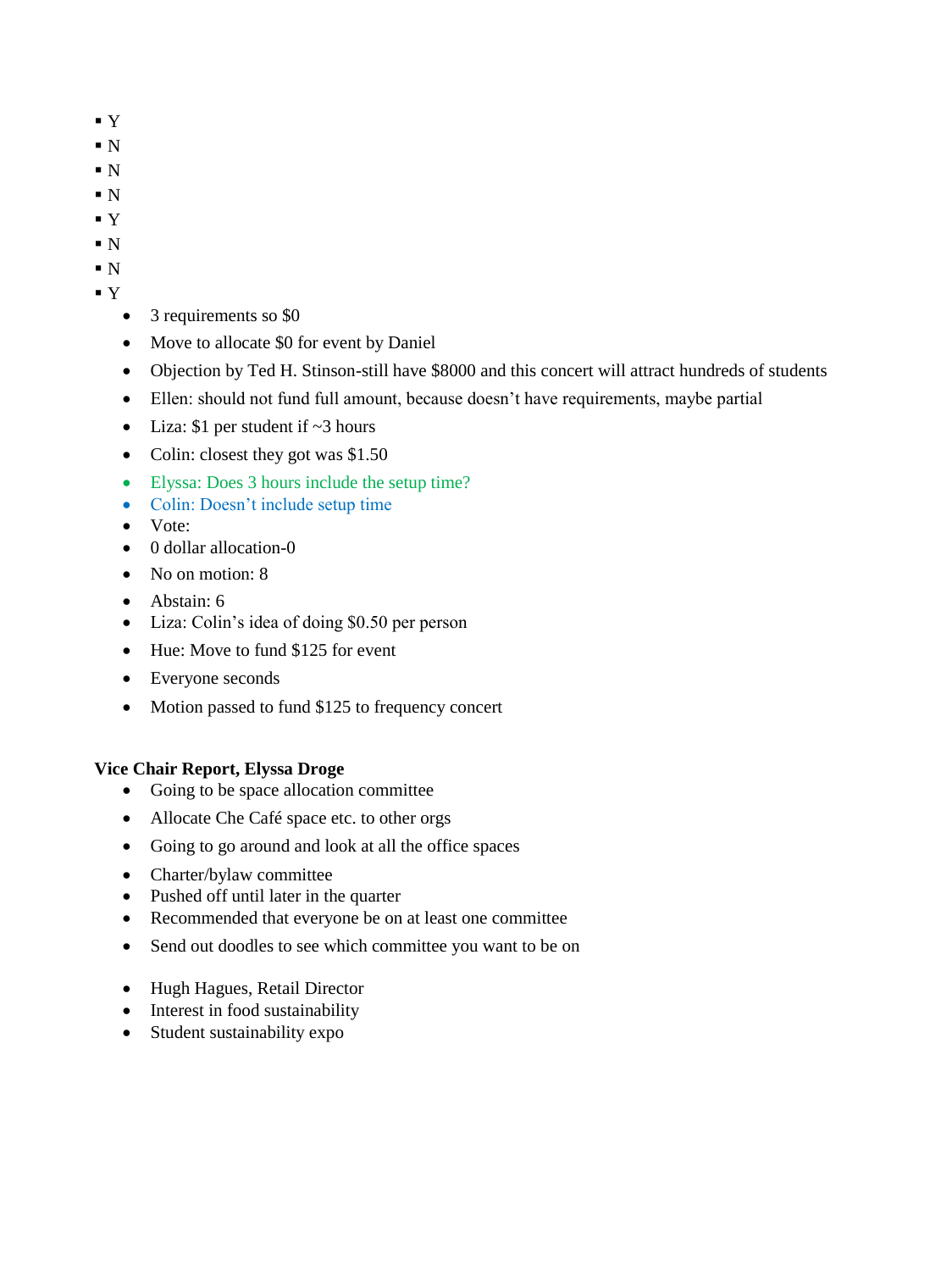- Y
- $\blacksquare$  N
- $\blacksquare$  N
- $\blacksquare$  N
- Y
- $\blacksquare$  N
- $\blacksquare$  N
- $\mathbf{Y}$ 
	- 3 requirements so \$0
	- Move to allocate \$0 for event by Daniel
	- Objection by Ted H. Stinson-still have \$8000 and this concert will attract hundreds of students
	- Ellen: should not fund full amount, because doesn't have requirements, maybe partial
	- Liza:  $$1$  per student if  $~3$  hours
	- Colin: closest they got was \$1.50
	- Elyssa: Does 3 hours include the setup time?
	- Colin: Doesn't include setup time
	- Vote<sup>·</sup>
	- 0 dollar allocation-0
	- No on motion: 8
	- Abstain: 6
	- Liza: Colin's idea of doing \$0.50 per person
	- Hue: Move to fund \$125 for event
	- Everyone seconds
	- Motion passed to fund \$125 to frequency concert

# **Vice Chair Report, Elyssa Droge**

- Going to be space allocation committee
- Allocate Che Café space etc. to other orgs
- Going to go around and look at all the office spaces
- Charter/bylaw committee
- Pushed off until later in the quarter
- Recommended that everyone be on at least one committee
- Send out doodles to see which committee you want to be on
- Hugh Hagues, Retail Director
- Interest in food sustainability
- Student sustainability expo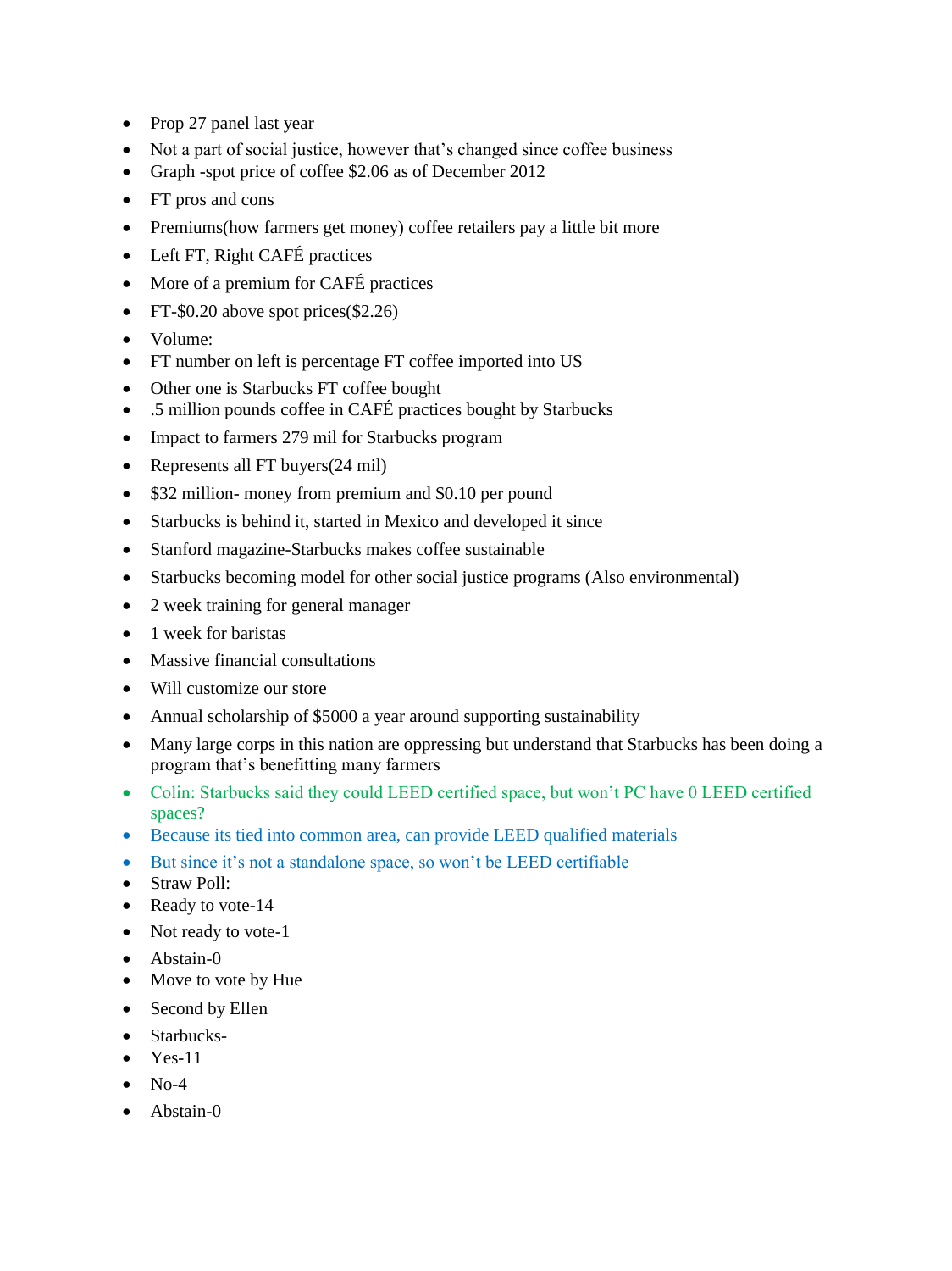- Prop 27 panel last year
- Not a part of social justice, however that's changed since coffee business
- Graph -spot price of coffee \$2.06 as of December 2012
- FT pros and cons
- Premiums(how farmers get money) coffee retailers pay a little bit more
- Left FT, Right CAFÉ practices
- More of a premium for CAFÉ practices
- FT- $$0.20$  above spot prices( $$2.26$ )
- Volume:
- FT number on left is percentage FT coffee imported into US
- Other one is Starbucks FT coffee bought
- .5 million pounds coffee in CAFÉ practices bought by Starbucks
- Impact to farmers 279 mil for Starbucks program
- Represents all FT buyers(24 mil)
- \$32 million- money from premium and \$0.10 per pound
- Starbucks is behind it, started in Mexico and developed it since
- Stanford magazine-Starbucks makes coffee sustainable
- Starbucks becoming model for other social justice programs (Also environmental)
- 2 week training for general manager
- 1 week for baristas
- Massive financial consultations
- Will customize our store
- Annual scholarship of \$5000 a year around supporting sustainability
- Many large corps in this nation are oppressing but understand that Starbucks has been doing a program that's benefitting many farmers
- Colin: Starbucks said they could LEED certified space, but won't PC have 0 LEED certified spaces?
- Because its tied into common area, can provide LEED qualified materials
- But since it's not a standalone space, so won't be LEED certifiable
- Straw Poll:
- Ready to vote-14
- Not ready to vote-1
- Abstain-0
- Move to vote by Hue
- Second by Ellen
- Starbucks-
- $\bullet$  Yes-11
- $\bullet$  No-4
- Abstain-0